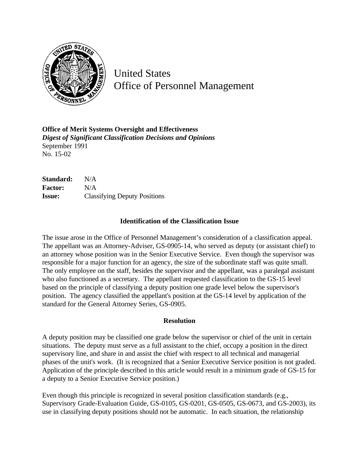

United States Office of Personnel Management

**Office of Merit Systems Oversight and Effectiveness** *Digest of Significant Classification Decisions and Opinions* September 1991 No. 15-02

**Standard:** N/A **Factor:** N/A **Issue:** Classifying Deputy Positions

## **Identification of the Classification Issue**

The issue arose in the Office of Personnel Management's consideration of a classification appeal. The appellant was an Attorney-Adviser, GS-0905-14, who served as deputy (or assistant chief) to an attorney whose position was in the Senior Executive Service. Even though the supervisor was responsible for a major function for an agency, the size of the subordinate staff was quite small. The only employee on the staff, besides the supervisor and the appellant, was a paralegal assistant who also functioned as a secretary. The appellant requested classification to the GS-15 level based on the principle of classifying a deputy position one grade level below the supervisor's position. The agency classified the appellant's position at the GS-14 level by application of the standard for the General Attorney Series, GS-0905.

## **Resolution**

A deputy position may be classified one grade below the supervisor or chief of the unit in certain situations. The deputy must serve as a full assistant to the chief, occupy a position in the direct supervisory line, and share in and assist the chief with respect to all technical and managerial phases of the unit's work. (It is recognized that a Senior Executive Service position is not graded. Application of the principle described in this article would result in a minimum grade of GS-15 for a deputy to a Senior Executive Service position.)

Even though this principle is recognized in several position classification standards (e.g., Supervisory Grade-Evaluation Guide, GS-0105, GS-0201, GS-0505, GS-0673, and GS-2003), its use in classifying deputy positions should not be automatic. In each situation, the relationship